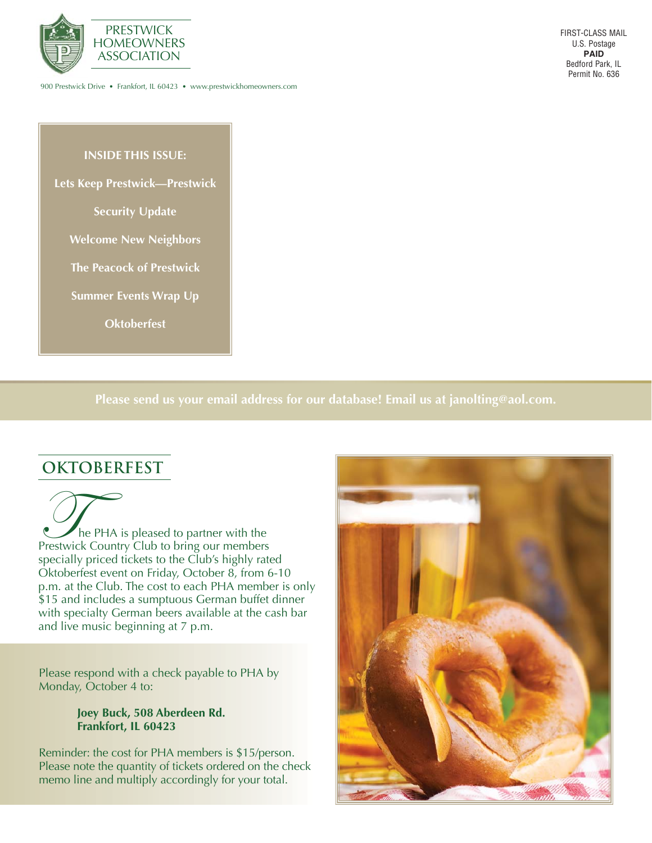

900 Prestwick Drive • Frankfort, IL 60423 • www.prestwickhomeowners.com

#### **INSIDE THIS ISSUE:**

**Lets Keep Prestwick—Prestwick**

**Security Update**

**Welcome New Neighbors**

**The Peacock of Prestwick**

**Summer Events Wrap Up**

**Oktoberfest**

**Please send us your email address for our database! Email us at janolting@aol.com.**

### **OKTOBERFEST**

The PHA is pleased to partner with the Prestwick Country Club to bring our members specially priced tickets to the Club's highly rated Oktoberfest event on Friday, October 8, from 6-10 p.m. at the Club. The cost to each PHA member is only \$15 and includes a sumptuous German buffet dinner with specialty German beers available at the cash bar and live music beginning at 7 p.m.

Please respond with a check payable to PHA by Monday, October 4 to:

#### **Joey Buck, 508 Aberdeen Rd. Frankfort, IL 60423**

Reminder: the cost for PHA members is \$15/person. Please note the quantity of tickets ordered on the check memo line and multiply accordingly for your total.

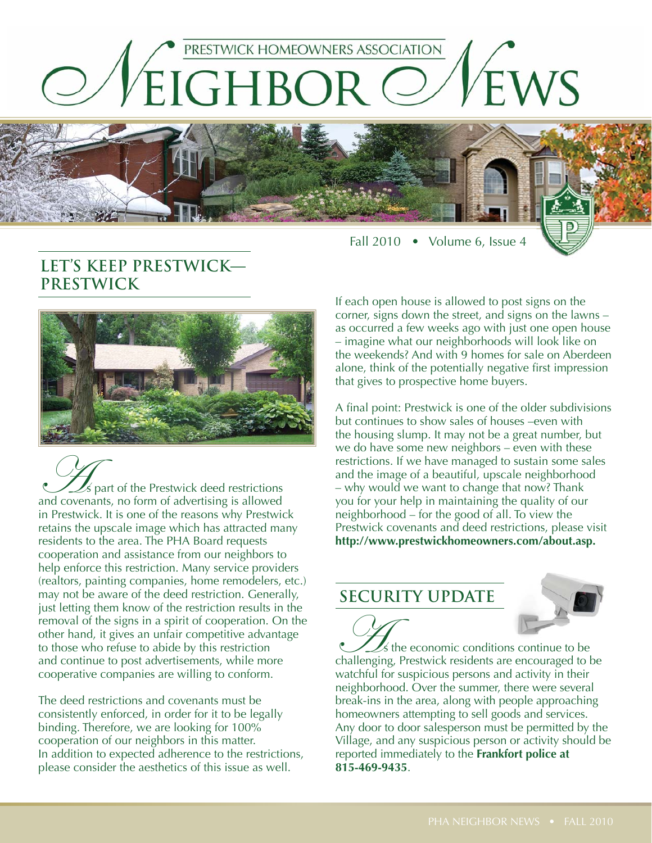

Fall 2010 • Volume 6, Issue 4

# **LET'S KEEP PRESTWICK— PRESTWICK**



As part of the Prestwick deed restrictions and covenants, no form of advertising is allowed in Prestwick. It is one of the reasons why Prestwick retains the upscale image which has attracted many residents to the area. The PHA Board requests cooperation and assistance from our neighbors to help enforce this restriction. Many service providers (realtors, painting companies, home remodelers, etc.) may not be aware of the deed restriction. Generally, just letting them know of the restriction results in the removal of the signs in a spirit of cooperation. On the other hand, it gives an unfair competitive advantage to those who refuse to abide by this restriction and continue to post advertisements, while more cooperative companies are willing to conform.

The deed restrictions and covenants must be consistently enforced, in order for it to be legally binding. Therefore, we are looking for 100% cooperation of our neighbors in this matter. In addition to expected adherence to the restrictions, please consider the aesthetics of this issue as well.

If each open house is allowed to post signs on the corner, signs down the street, and signs on the lawns – as occurred a few weeks ago with just one open house – imagine what our neighborhoods will look like on the weekends? And with 9 homes for sale on Aberdeen alone, think of the potentially negative first impression that gives to prospective home buyers.

A final point: Prestwick is one of the older subdivisions but continues to show sales of houses –even with the housing slump. It may not be a great number, but we do have some new neighbors – even with these restrictions. If we have managed to sustain some sales and the image of a beautiful, upscale neighborhood – why would we want to change that now? Thank you for your help in maintaining the quality of our neighborhood – for the good of all. To view the Prestwick covenants and deed restrictions, please visit **http://www.prestwickhomeowners.com/about.asp.**

### **SECURITY UPDATE**



As the economic conditions continue to be challenging, Prestwick residents are encouraged to be watchful for suspicious persons and activity in their neighborhood. Over the summer, there were several break-ins in the area, along with people approaching homeowners attempting to sell goods and services. Any door to door salesperson must be permitted by the Village, and any suspicious person or activity should be reported immediately to the **Frankfort police at 815-469-9435**.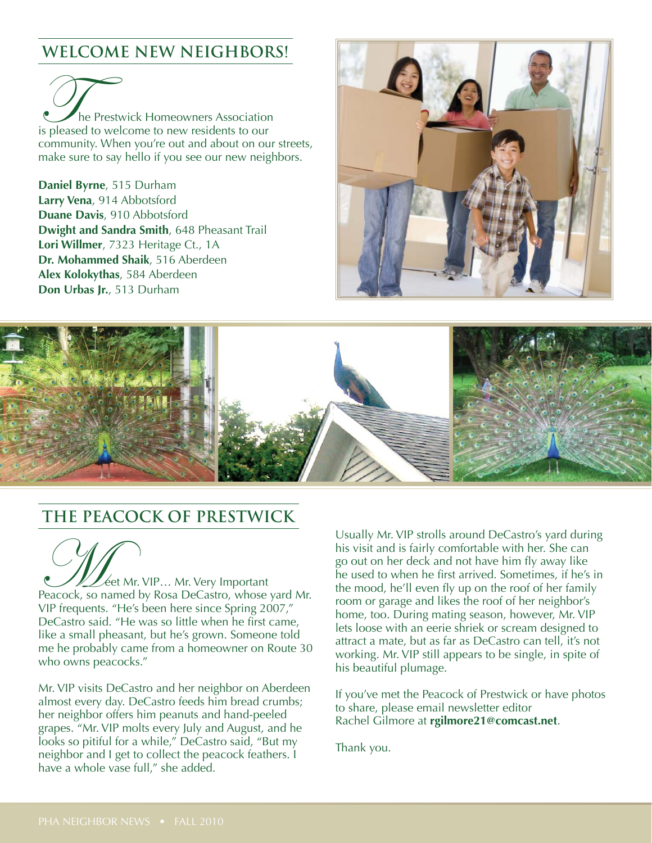## **WELCOME NEW NEIGHBORS!**

The Prestwick Homeowners Association<br>
is pleased to welcome to new residents to our community. When you're out and about on our streets, make sure to say hello if you see our new neighbors.

**Daniel Byrne**, 515 Durham **Larry Vena**, 914 Abbotsford **Duane Davis**, 910 Abbotsford **Dwight and Sandra Smith**, 648 Pheasant Trail **Lori Willmer**, 7323 Heritage Ct., 1A **Dr. Mohammed Shaik**, 516 Aberdeen **Alex Kolokythas**, 584 Aberdeen **Don Urbas Jr.**, 513 Durham





### **THE PEACOCK OF PRESTWICK**

**VLL** éet Mr. VIP... Mr. Very Important Peacock, so named by Rosa DeCastro, whose yard Mr. VIP frequents. "He's been here since Spring 2007," DeCastro said. "He was so little when he first came, like a small pheasant, but he's grown. Someone told me he probably came from a homeowner on Route 30 who owns peacocks."

Mr. VIP visits DeCastro and her neighbor on Aberdeen almost every day. DeCastro feeds him bread crumbs; her neighbor offers him peanuts and hand-peeled grapes. "Mr. VIP molts every July and August, and he looks so pitiful for a while," DeCastro said, "But my neighbor and I get to collect the peacock feathers. I have a whole vase full," she added.

Usually Mr. VIP strolls around DeCastro's yard during his visit and is fairly comfortable with her. She can go out on her deck and not have him fly away like he used to when he first arrived. Sometimes, if he's in the mood, he'll even fly up on the roof of her family room or garage and likes the roof of her neighbor's home, too. During mating season, however, Mr. VIP lets loose with an eerie shriek or scream designed to attract a mate, but as far as DeCastro can tell, it's not working. Mr. VIP still appears to be single, in spite of his beautiful plumage.

If you've met the Peacock of Prestwick or have photos to share, please email newsletter editor Rachel Gilmore at **rgilmore21@comcast.net**.

Thank you.